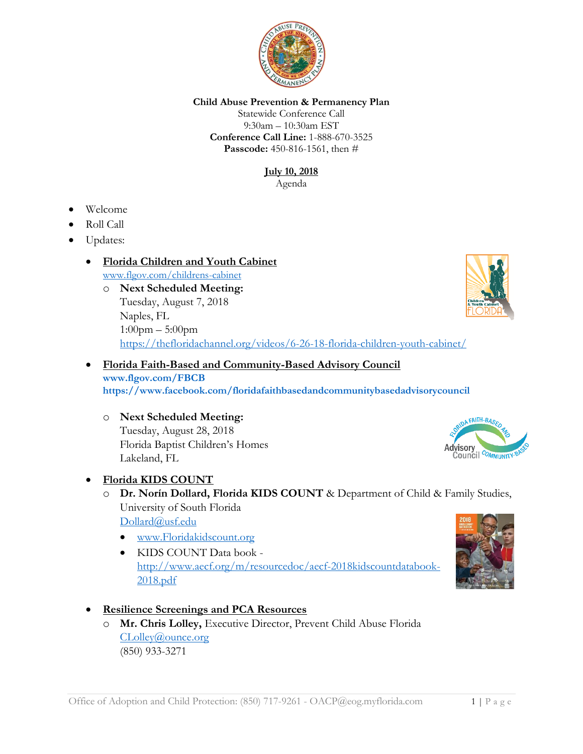

### **Child Abuse Prevention & Permanency Plan**

Statewide Conference Call 9:30am – 10:30am EST **Conference Call Line:** 1-888-670-3525 **Passcode:** 450-816-1561, then #

> **July 10, 2018** Agenda

- Welcome
- Roll Call
- Updates:

## • **Florida Children and Youth Cabinet** [www.flgov.com/childrens-cabinet](http://www.flgov.com/childrens-cabinet)

## o **Next Scheduled Meeting:** Tuesday, August 7, 2018 Naples, FL 1:00pm – 5:00pm <https://thefloridachannel.org/videos/6-26-18-florida-children-youth-cabinet/>

### • **Florida Faith-Based and Community-Based Advisory Council [www.flgov.com/FBCB](http://www.flgov.com/FBCB) <https://www.facebook.com/floridafaithbasedandcommunitybasedadvisorycouncil>**

o **Next Scheduled Meeting:**  Tuesday, August 28, 2018 Florida Baptist Children's Homes Lakeland, FL

## • **Florida KIDS COUNT**

- o **Dr. Norín Dollard, Florida KIDS COUNT** & Department of Child & Family Studies, University of South Florida [Dollard@usf.edu](mailto:Dollard@usf.edu)
	- [www.Floridakidscount.org](http://www.floridakidscount.org/)
	- KIDS COUNT Data book [http://www.aecf.org/m/resourcedoc/aecf-2018kidscountdatabook-](http://www.aecf.org/m/resourcedoc/aecf-2018kidscountdatabook-2018.pdf)[2018.pdf](http://www.aecf.org/m/resourcedoc/aecf-2018kidscountdatabook-2018.pdf)
- **Resilience Screenings and PCA Resources** 
	- o **Mr. Chris Lolley,** Executive Director, Prevent Child Abuse Florida [CLolley@ounce.org](mailto:CLolley@ounce.org) (850) 933-3271





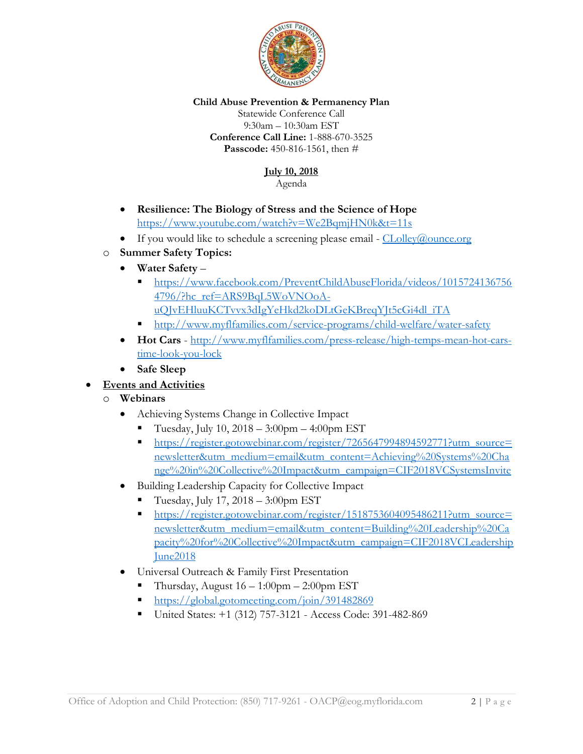

### **Child Abuse Prevention & Permanency Plan**

Statewide Conference Call 9:30am – 10:30am EST **Conference Call Line:** 1-888-670-3525 **Passcode:** 450-816-1561, then #

# **July 10, 2018**

Agenda

- **Resilience: The Biology of Stress and the Science of Hope** <https://www.youtube.com/watch?v=We2BqmjHN0k&t=11s>
- If you would like to schedule a screening please email  $CLolley@ounce.org$
- o **Summer Safety Topics:**
	- **Water Safety**
		- [https://www.facebook.com/PreventChildAbuseFlorida/videos/1015724136756](https://www.facebook.com/PreventChildAbuseFlorida/videos/10157241367564796/?hc_ref=ARS9BqL5WoVNOoA-uQJvEHluuKCTvvx3dIgYeHkd2koDLtGeKBreqYJt5cGi4dl_iTA) [4796/?hc\\_ref=ARS9BqL5WoVNOoA-](https://www.facebook.com/PreventChildAbuseFlorida/videos/10157241367564796/?hc_ref=ARS9BqL5WoVNOoA-uQJvEHluuKCTvvx3dIgYeHkd2koDLtGeKBreqYJt5cGi4dl_iTA)
		- [uQJvEHluuKCTvvx3dIgYeHkd2koDLtGeKBreqYJt5cGi4dl\\_iTA](https://www.facebook.com/PreventChildAbuseFlorida/videos/10157241367564796/?hc_ref=ARS9BqL5WoVNOoA-uQJvEHluuKCTvvx3dIgYeHkd2koDLtGeKBreqYJt5cGi4dl_iTA)
		- <http://www.myflfamilies.com/service-programs/child-welfare/water-safety>
	- **Hot Cars** [http://www.myflfamilies.com/press-release/high-temps-mean-hot-cars](http://www.myflfamilies.com/press-release/high-temps-mean-hot-cars-time-look-you-lock)[time-look-you-lock](http://www.myflfamilies.com/press-release/high-temps-mean-hot-cars-time-look-you-lock)
	- **Safe Sleep**

# • **Events and Activities**

- o **Webinars**
	- Achieving Systems Change in Collective Impact
		- Tuesday, July 10,  $2018 3:00$ pm  $4:00$ pm EST
		- [https://register.gotowebinar.com/register/7265647994894592771?utm\\_source=](https://register.gotowebinar.com/register/7265647994894592771?utm_source=newsletter&utm_medium=email&utm_content=Achieving%20Systems%20Change%20in%20Collective%20Impact&utm_campaign=CIF2018VCSystemsInvite) [newsletter&utm\\_medium=email&utm\\_content=Achieving%20Systems%20Cha](https://register.gotowebinar.com/register/7265647994894592771?utm_source=newsletter&utm_medium=email&utm_content=Achieving%20Systems%20Change%20in%20Collective%20Impact&utm_campaign=CIF2018VCSystemsInvite) [nge%20in%20Collective%20Impact&utm\\_campaign=CIF2018VCSystemsInvite](https://register.gotowebinar.com/register/7265647994894592771?utm_source=newsletter&utm_medium=email&utm_content=Achieving%20Systems%20Change%20in%20Collective%20Impact&utm_campaign=CIF2018VCSystemsInvite)
	- Building Leadership Capacity for Collective Impact
		- Tuesday, July 17, 2018 3:00pm EST
		- [https://register.gotowebinar.com/register/1518753604095486211?utm\\_source=](https://register.gotowebinar.com/register/1518753604095486211?utm_source=newsletter&utm_medium=email&utm_content=Building%20Leadership%20Capacity%20for%20Collective%20Impact&utm_campaign=CIF2018VCLeadershipJune2018) [newsletter&utm\\_medium=email&utm\\_content=Building%20Leadership%20Ca](https://register.gotowebinar.com/register/1518753604095486211?utm_source=newsletter&utm_medium=email&utm_content=Building%20Leadership%20Capacity%20for%20Collective%20Impact&utm_campaign=CIF2018VCLeadershipJune2018) [pacity%20for%20Collective%20Impact&utm\\_campaign=CIF2018VCLeadership](https://register.gotowebinar.com/register/1518753604095486211?utm_source=newsletter&utm_medium=email&utm_content=Building%20Leadership%20Capacity%20for%20Collective%20Impact&utm_campaign=CIF2018VCLeadershipJune2018) [June2018](https://register.gotowebinar.com/register/1518753604095486211?utm_source=newsletter&utm_medium=email&utm_content=Building%20Leadership%20Capacity%20for%20Collective%20Impact&utm_campaign=CIF2018VCLeadershipJune2018)
	- Universal Outreach & Family First Presentation
		- Thursday, August  $16 1:00$ pm  $2:00$ pm EST
		- <https://global.gotomeeting.com/join/391482869>
		- United States: +1 (312) 757-3121 Access Code: 391-482-869